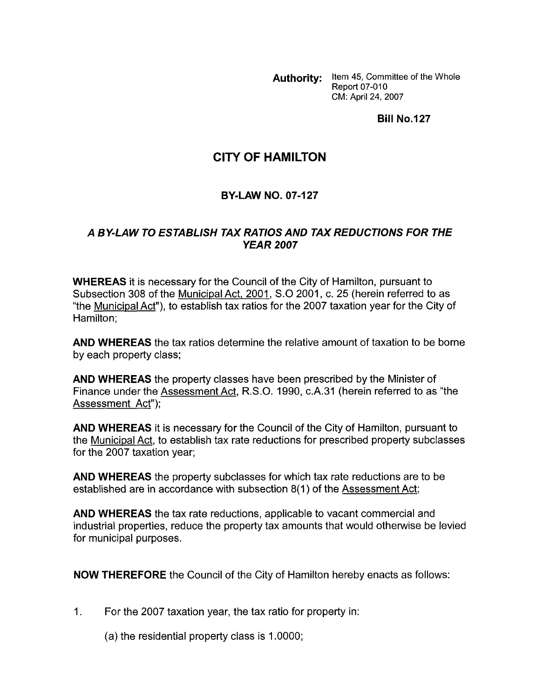Authority: Item 45, Committee of the Whole **Report 07-010** CM: April 24, 2007

**Bill No.127** 

## **CITY OF HAMILTON**

## **BY-LAW NO. 07-127**

## *A BY-LAW TO ESTABLISH TAX RATIOSAND TAX REDUCTIONS FOR THE YEAR 2007*

**WHEREAS** it is necessary for the Council of the City of Hamilton, pursuant to Subsection 308 of the Municipal Act, 2001, S.0 2001, c. 25 (herein referred to as "the Municipal Act"), to establish tax ratios for the 2007 taxation year for the City of Hamilton;

**AND WHEREAS** the tax ratios determine the relative amount of taxation to be borne by each property class;

**AND WHEREAS** the property classes have been prescribed by the Minister of Finance under the Assessment Act, R.S.O. 1990, c.A.31 (herein referred to as "the Assessment Act");

**AND WHEREAS** it is necessary for the Council of the City of Hamilton, pursuant to the Municipal Act, to establish tax rate reductions for prescribed property subclasses for the 2007 taxation year;

**AND WHEREAS** the property subclasses for which tax rate reductions are to be established are in accordance with subsection 8(1) of the Assessment Act;

**AND WHEREAS** the tax rate reductions, applicable to vacant commercial and industrial properties, reduce the property tax amounts that would otherwise be levied for municipal purposes.

**NOW THEREFORE** the Council of the City of Hamilton hereby enacts as follows:

1. For the 2007 taxation year, the tax ratio for property in:

(a) the residential property class is 1 .OOOO;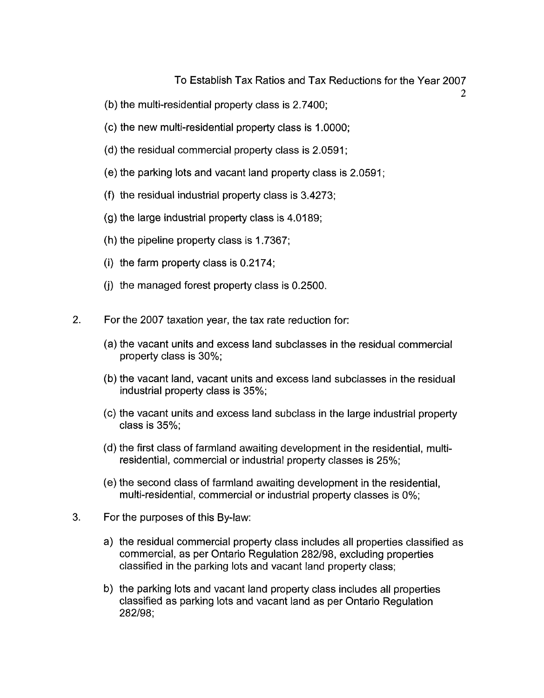## To Establish Tax Ratios and Tax Reductions for the Year 2007

 $\mathfrak{D}$ 

- (b) the multi-residential property class is 2.7400;
- (c) the new multi-residential property class is 1 .OOOO;
- (d) the residual commercial property class is 2.0591 ;
- (e) the parking lots and vacant land property class is 2.0591;
- (f) the residual industrial property class is 3.4273;
- $(g)$  the large industrial property class is 4.0189;
- (h) the pipeline property class is 1.7367;
- (i) the farm property class is  $0.2174$ ;
- (i) the managed forest property class is 0.2500.
- 2. For the 2007 taxation year, the tax rate reduction for:
	- (a) the vacant units and excess land subclasses in the residual commercial property class is 30%;
	- (b) the vacant land, vacant units and excess land subclasses in the residual industrial property class is 35%;
	- (c) the vacant units and excess land subclass in the large industrial property class is 35%;
	- (d) the first class of farmland awaiting development in the residential, multiresidential, commercial or industrial property classes is 25%;
	- (e) the second class of farmland awaiting development in the residential, multi-residential, commercial or industrial property classes is 0%;
- 3. For the purposes of this By-law:
	- a) the residual commercial property class includes all properties classified as commercial, as per Ontario Regulation 282198, excluding properties classified in the parking lots and vacant land property class;
	- b) the parking lots and vacant land property class includes all properties classified as parking lots and vacant land as per Ontario Regulation 282198;